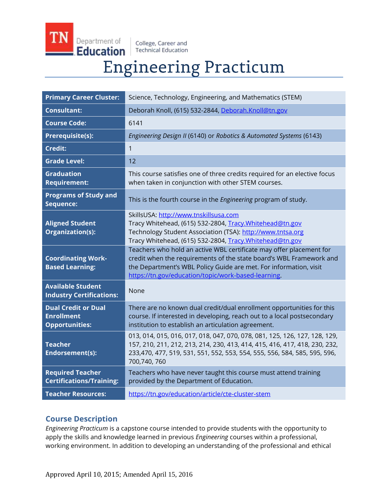College, Career and **Technical Education** 

Department of

Education

# **Engineering Practicum**

| <b>Primary Career Cluster:</b>                                           | Science, Technology, Engineering, and Mathematics (STEM)                                                                                                                                                                                                               |
|--------------------------------------------------------------------------|------------------------------------------------------------------------------------------------------------------------------------------------------------------------------------------------------------------------------------------------------------------------|
| <b>Consultant:</b>                                                       | Deborah Knoll, (615) 532-2844, Deborah.Knoll@tn.gov                                                                                                                                                                                                                    |
| <b>Course Code:</b>                                                      | 6141                                                                                                                                                                                                                                                                   |
| <b>Prerequisite(s):</b>                                                  | Engineering Design II (6140) or Robotics & Automated Systems (6143)                                                                                                                                                                                                    |
| <b>Credit:</b>                                                           | 1                                                                                                                                                                                                                                                                      |
| <b>Grade Level:</b>                                                      | 12                                                                                                                                                                                                                                                                     |
| <b>Graduation</b><br><b>Requirement:</b>                                 | This course satisfies one of three credits required for an elective focus<br>when taken in conjunction with other STEM courses.                                                                                                                                        |
| <b>Programs of Study and</b><br>Sequence:                                | This is the fourth course in the Engineering program of study.                                                                                                                                                                                                         |
| <b>Aligned Student</b><br>Organization(s):                               | SkillsUSA: http://www.tnskillsusa.com<br>Tracy Whitehead, (615) 532-2804, Tracy. Whitehead@tn.gov<br>Technology Student Association (TSA): http://www.tntsa.org<br>Tracy Whitehead, (615) 532-2804, Tracy. Whitehead@tn.gov                                            |
| <b>Coordinating Work-</b><br><b>Based Learning:</b>                      | Teachers who hold an active WBL certificate may offer placement for<br>credit when the requirements of the state board's WBL Framework and<br>the Department's WBL Policy Guide are met. For information, visit<br>https://tn.gov/education/topic/work-based-learning. |
| <b>Available Student</b><br><b>Industry Certifications:</b>              | None                                                                                                                                                                                                                                                                   |
| <b>Dual Credit or Dual</b><br><b>Enrollment</b><br><b>Opportunities:</b> | There are no known dual credit/dual enrollment opportunities for this<br>course. If interested in developing, reach out to a local postsecondary<br>institution to establish an articulation agreement.                                                                |
| <b>Teacher</b><br><b>Endorsement(s):</b>                                 | 013, 014, 015, 016, 017, 018, 047, 070, 078, 081, 125, 126, 127, 128, 129,<br>157, 210, 211, 212, 213, 214, 230, 413, 414, 415, 416, 417, 418, 230, 232,<br>233,470, 477, 519, 531, 551, 552, 553, 554, 555, 556, 584, 585, 595, 596,<br>700,740,760                   |
| <b>Required Teacher</b><br><b>Certifications/Training:</b>               | Teachers who have never taught this course must attend training<br>provided by the Department of Education.                                                                                                                                                            |
| <b>Teacher Resources:</b>                                                | https://tn.gov/education/article/cte-cluster-stem                                                                                                                                                                                                                      |

## **Course Description**

*Engineering Practicum* is a capstone course intended to provide students with the opportunity to apply the skills and knowledge learned in previous *Engineering* courses within a professional, working environment. In addition to developing an understanding of the professional and ethical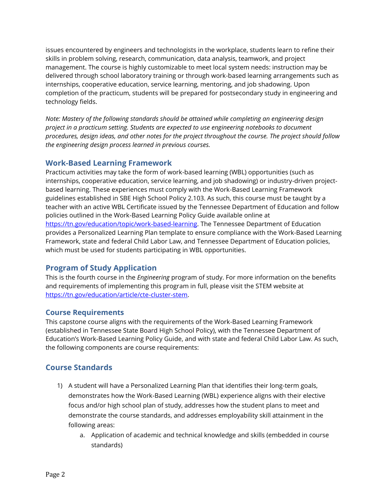issues encountered by engineers and technologists in the workplace, students learn to refine their skills in problem solving, research, communication, data analysis, teamwork, and project management. The course is highly customizable to meet local system needs: instruction may be delivered through school laboratory training or through work-based learning arrangements such as internships, cooperative education, service learning, mentoring, and job shadowing. Upon completion of the practicum, students will be prepared for postsecondary study in engineering and technology fields.

*Note: Mastery of the following standards should be attained while completing an engineering design project in a practicum setting. Students are expected to use engineering notebooks to document procedures, design ideas, and other notes for the project throughout the course. The project should follow the engineering design process learned in previous courses.* 

## **Work-Based Learning Framework**

Practicum activities may take the form of work-based learning (WBL) opportunities (such as internships, cooperative education, service learning, and job shadowing) or industry-driven projectbased learning. These experiences must comply with the Work-Based Learning Framework guidelines established in SBE High School Policy 2.103. As such, this course must be taught by a teacher with an active WBL Certificate issued by the Tennessee Department of Education and follow policies outlined in the Work-Based Learning Policy Guide available online at [https://tn.gov/education/topic/work-based-learning.](https://tn.gov/education/topic/work-based-learning) The Tennessee Department of Education provides a Personalized Learning Plan template to ensure compliance with the Work-Based Learning Framework, state and federal Child Labor Law, and Tennessee Department of Education policies, which must be used for students participating in WBL opportunities.

## **Program of Study Application**

This is the fourth course in the *Engineering* program of study. For more information on the benefits and requirements of implementing this program in full, please visit the STEM website at [https://tn.gov/education/article/cte-cluster-stem.](https://tn.gov/education/article/cte-cluster-stem)

### **Course Requirements**

This capstone course aligns with the requirements of the Work-Based Learning Framework (established in Tennessee State Board High School Policy), with the Tennessee Department of Education's Work-Based Learning Policy Guide, and with state and federal Child Labor Law. As such, the following components are course requirements:

# **Course Standards**

- 1) A student will have a Personalized Learning Plan that identifies their long-term goals, demonstrates how the Work-Based Learning (WBL) experience aligns with their elective focus and/or high school plan of study, addresses how the student plans to meet and demonstrate the course standards, and addresses employability skill attainment in the following areas:
	- a. Application of academic and technical knowledge and skills (embedded in course standards)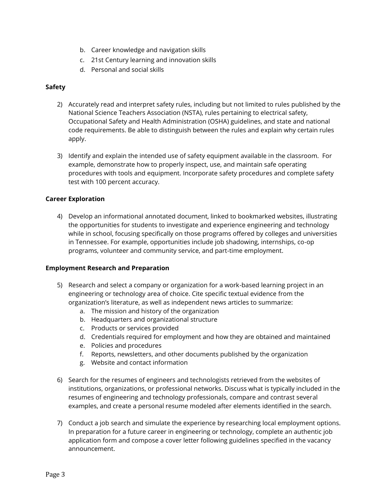- b. Career knowledge and navigation skills
- c. 21st Century learning and innovation skills
- d. Personal and social skills

#### **Safety**

- 2) Accurately read and interpret safety rules, including but not limited to rules published by the National Science Teachers Association (NSTA), rules pertaining to electrical safety, Occupational Safety and Health Administration (OSHA) guidelines, and state and national code requirements. Be able to distinguish between the rules and explain why certain rules apply.
- 3) Identify and explain the intended use of safety equipment available in the classroom. For example, demonstrate how to properly inspect, use, and maintain safe operating procedures with tools and equipment. Incorporate safety procedures and complete safety test with 100 percent accuracy.

#### **Career Exploration**

4) Develop an informational annotated document, linked to bookmarked websites, illustrating the opportunities for students to investigate and experience engineering and technology while in school, focusing specifically on those programs offered by colleges and universities in Tennessee. For example, opportunities include job shadowing, internships, co-op programs, volunteer and community service, and part-time employment.

#### **Employment Research and Preparation**

- 5) Research and select a company or organization for a work-based learning project in an engineering or technology area of choice. Cite specific textual evidence from the organization's literature, as well as independent news articles to summarize:
	- a. The mission and history of the organization
	- b. Headquarters and organizational structure
	- c. Products or services provided
	- d. Credentials required for employment and how they are obtained and maintained
	- e. Policies and procedures
	- f. Reports, newsletters, and other documents published by the organization
	- g. Website and contact information
- 6) Search for the resumes of engineers and technologists retrieved from the websites of institutions, organizations, or professional networks. Discuss what is typically included in the resumes of engineering and technology professionals, compare and contrast several examples, and create a personal resume modeled after elements identified in the search.
- 7) Conduct a job search and simulate the experience by researching local employment options. In preparation for a future career in engineering or technology, complete an authentic job application form and compose a cover letter following guidelines specified in the vacancy announcement.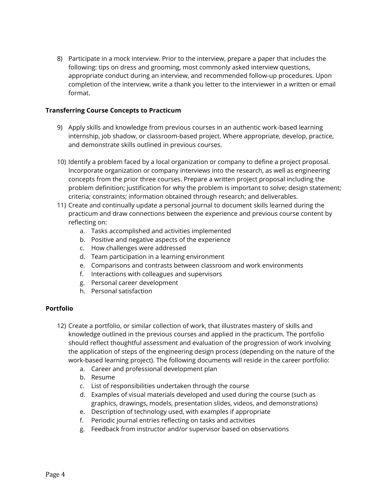8) Participate in a mock interview. Prior to the interview, prepare a paper that includes the following: tips on dress and grooming, most commonly asked interview questions, appropriate conduct during an interview, and recommended follow-up procedures. Upon completion of the interview, write a thank you letter to the interviewer in a written or email format.

#### **Transferring Course Concepts to Practicum**

- 9) Apply skills and knowledge from previous courses in an authentic work-based learning internship, job shadow, or classroom-based project. Where appropriate, develop, practice, and demonstrate skills outlined in previous courses.
- 10) Identify a problem faced by a local organization or company to define a project proposal. Incorporate organization or company interviews into the research, as well as engineering concepts from the prior three courses. Prepare a written project proposal including the problem definition; justification for why the problem is important to solve; design statement; criteria; constraints; information obtained through research; and deliverables.
- 11) Create and continually update a personal journal to document skills learned during the practicum and draw connections between the experience and previous course content by reflecting on:
	- a. Tasks accomplished and activities implemented
	- b. Positive and negative aspects of the experience
	- c. How challenges were addressed
	- d. Team participation in a learning environment
	- e. Comparisons and contrasts between classroom and work environments
	- f. Interactions with colleagues and supervisors
	- g. Personal career development
	- h. Personal satisfaction

#### **Portfolio**

- 12) Create a portfolio, or similar collection of work, that illustrates mastery of skills and knowledge outlined in the previous courses and applied in the practicum. The portfolio should reflect thoughtful assessment and evaluation of the progression of work involving the application of steps of the engineering design process (depending on the nature of the work-based learning project). The following documents will reside in the career portfolio:
	- a. Career and professional development plan
	- b. Resume
	- c. List of responsibilities undertaken through the course
	- d. Examples of visual materials developed and used during the course (such as graphics, drawings, models, presentation slides, videos, and demonstrations)
	- e. Description of technology used, with examples if appropriate
	- f. Periodic journal entries reflecting on tasks and activities
	- g. Feedback from instructor and/or supervisor based on observations